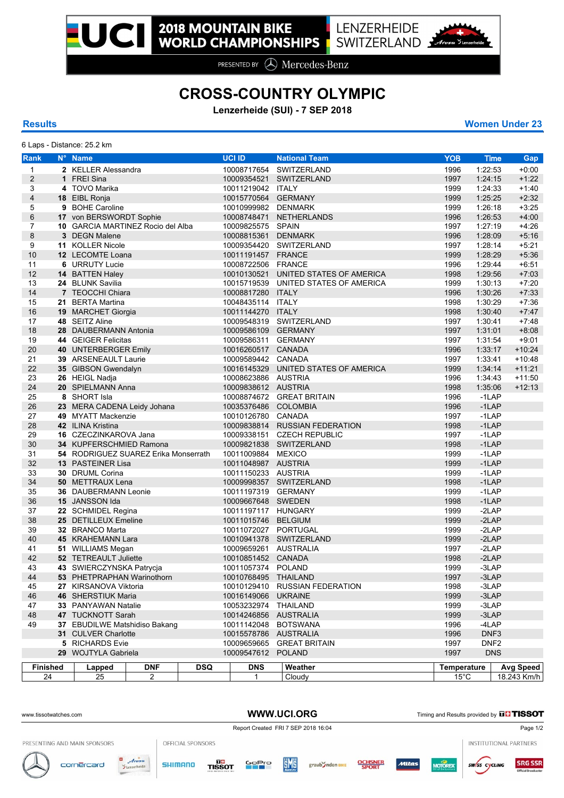PRESENTED BY **A** Mercedes-Benz

## **CROSS-COUNTRY OLYMPIC**

**Lenzerheide (SUI) - 7 SEP 2018**

6 Laps - Distance: 25.2 km

**Results Women Under 23**

| Rank           |  | N° Name                                          |                | <b>UCI ID</b> |                                     |                       | <b>National Team</b>      |                            | <b>YOB</b>   | <b>Time</b>    | Gap              |                  |
|----------------|--|--------------------------------------------------|----------------|---------------|-------------------------------------|-----------------------|---------------------------|----------------------------|--------------|----------------|------------------|------------------|
| $\mathbf{1}$   |  | 2 KELLER Alessandra                              |                |               | 10008717654                         |                       | SWITZERLAND               |                            |              | 1:22:53        | $+0:00$          |                  |
| $\overline{2}$ |  | 1 FREI Sina                                      |                |               |                                     | 10009354521           |                           | SWITZERLAND                |              | 1996<br>1997   | 1:24:15          | $+1:22$          |
| 3              |  | 4 TOVO Marika                                    |                |               |                                     | 10011219042 ITALY     |                           |                            |              | 1999           | 1.24:33          | $+1:40$          |
| 4              |  | 18 EIBL Ronja                                    |                |               |                                     | 10015770564           |                           | <b>GERMANY</b>             |              | 1999           | 1:25:25          | $+2:32$          |
| 5              |  | 9 BOHE Caroline                                  |                |               |                                     | 10010999982           |                           | <b>DENMARK</b>             |              | 1999           | 1:26:18          | $+3:25$          |
| 6              |  | 17 von BERSWORDT Sophie                          |                |               |                                     | 10008748471           |                           | <b>NETHERLANDS</b>         |              | 1996           | 1:26:53          | $+4:00$          |
| $\overline{7}$ |  | 10 GARCIA MARTINEZ Rocio del Alba                |                |               |                                     | 10009825575           |                           | <b>SPAIN</b>               |              | 1997           | 1:27:19          | $+4:26$          |
| $\bf 8$        |  | 3 DEGN Malene                                    |                |               |                                     | 10008815361           |                           | <b>DENMARK</b>             |              | 1996           | 1:28:09          | $+5:16$          |
| 9              |  | 11 KOLLER Nicole                                 |                |               |                                     |                       |                           | 10009354420 SWITZERLAND    |              | 1997           | 1:28:14          | $+5:21$          |
| 10             |  | 12 LECOMTE Loana                                 |                |               |                                     | 10011191457           |                           | <b>FRANCE</b>              |              | 1999           | 1:28:29          | $+5:36$          |
| 11             |  | 6 URRUTY Lucie                                   |                |               |                                     | 10008722506 FRANCE    |                           |                            |              | 1996           | 1:29:44          | $+6.51$          |
| 12             |  | 14 BATTEN Haley                                  |                |               |                                     | 10010130521           |                           | UNITED STATES OF AMERICA   |              | 1998           | 1.29.56          | $+7:03$          |
| 13             |  | 24 BLUNK Savilia                                 |                |               |                                     | 10015719539           |                           | UNITED STATES OF AMERICA   |              | 1999           | 1:30:13          | $+7:20$          |
| 14             |  | 7 TEOCCHI Chiara                                 |                |               |                                     | 10008817280 ITALY     |                           |                            |              | 1996           | 1:30:26          | $+7.33$          |
| 15             |  | 21 BERTA Martina                                 |                |               |                                     | 10048435114 ITALY     |                           |                            |              | 1998           | 1:30:29          | $+7:36$          |
| 16             |  | 19 MARCHET Giorgia                               |                |               |                                     | 10011144270 ITALY     |                           |                            |              | 1998           | 1:30:40          | $+7.47$          |
| 17             |  | 48 SEITZ Aline                                   |                |               |                                     |                       |                           | 10009548319 SWITZERLAND    |              | 1997           | 1:30:41          | $+7.48$          |
| 18             |  | 28 DAUBERMANN Antonia                            |                |               |                                     | 10009586109 GERMANY   |                           |                            |              | 1997           | 1:31:01          | $+8.08$          |
| 19             |  | 44 GEIGER Felicitas                              |                |               |                                     | 10009586311           |                           | <b>GERMANY</b>             |              | 1997           | 1:31:54          | $+9.01$          |
| 20             |  | 40 UNTERBERGER Emily                             |                |               |                                     | 10016260517 CANADA    |                           |                            |              | 1996           | 1:33:17          | $+10.24$         |
| 21             |  | 39 ARSENEAULT Laurie                             |                |               |                                     | 10009589442 CANADA    |                           |                            |              | 1997           | 1:33:41          | $+10.48$         |
| 22             |  | 35 GIBSON Gwendalyn                              |                |               |                                     | 10016145329           |                           | UNITED STATES OF AMERICA   |              | 1999           | 1:34:14          | $+11:21$         |
| 23             |  | 26 HEIGL Nadja                                   |                |               |                                     | 10008623886 AUSTRIA   |                           |                            |              | 1996           | 1.34.43          | $+11.50$         |
| 24             |  | 20 SPIELMANN Anna                                |                |               | 10009838612 AUSTRIA                 |                       |                           |                            | 1998         | 1:35:06        | $+12:13$         |                  |
| 25             |  | 8 SHORT Isla                                     |                |               |                                     |                       |                           | 10008874672 GREAT BRITAIN  |              | 1996           | $-1$ LAP         |                  |
| 26             |  | 23 MERA CADENA Leidy Johana                      |                |               |                                     | 10035376486 COLOMBIA  |                           |                            |              | 1996           | $-1$ LAP         |                  |
| 27             |  | 49 MYATT Mackenzie                               |                |               |                                     | 10010126780 CANADA    |                           |                            |              | 1997           | $-1$ LAP         |                  |
| 28             |  | 42 ILINA Kristina                                |                |               |                                     | 10009838814           |                           | <b>RUSSIAN FEDERATION</b>  |              | 1998           | $-1LAP$          |                  |
| 29             |  | 16 CZECZINKAROVA Jana                            |                |               |                                     |                       |                           | 10009338151 CZECH REPUBLIC |              | 1997           | $-1$ LAP         |                  |
| 30             |  | 34 KUPFERSCHMIED Ramona                          |                |               |                                     |                       |                           | 10009821838 SWITZERLAND    |              | 1998           | $-1LAP$          |                  |
| 31             |  | <b>54</b> RODRIGUEZ SUAREZ Erika Monserrath      |                |               |                                     | 10011009884 MEXICO    |                           |                            |              | 1999           | $-1$ LAP         |                  |
| 32             |  | 13 PASTEINER Lisa                                |                |               |                                     | 10011048987 AUSTRIA   |                           |                            |              | 1999           | $-1$ LAP         |                  |
| 33             |  | 30 DRUML Corina                                  |                |               |                                     | 10011150233 AUSTRIA   |                           |                            |              | 1999           | $-1$ LAP         |                  |
| 34             |  | 50 METTRAUX Lena                                 |                |               |                                     |                       |                           | 10009998357 SWITZERLAND    |              | 1998           | $-1LAP$          |                  |
| 35             |  | 36 DAUBERMANN Leonie                             |                |               |                                     | 10011197319 GERMANY   |                           |                            |              | 1999           | $-1$ LAP         |                  |
| 36             |  | 15 JANSSON Ida                                   |                |               |                                     | 10009667648 SWEDEN    |                           |                            |              | 1998           | $-1$ LAP         |                  |
| 37             |  | 22 SCHMIDEL Regina                               |                |               |                                     | 10011197117 HUNGARY   |                           |                            |              | 1999           | $-2LAP$          |                  |
| 38             |  | 25 DETILLEUX Emeline                             |                |               |                                     | 10011015746 BELGIUM   |                           |                            |              | 1999           | $-2LAP$          |                  |
| 39             |  | 32 BRANCO Marta                                  |                |               | 10011072027 PORTUGAL                |                       |                           |                            | 1999         | $-2LAP$        |                  |                  |
| 40             |  | 45 KRAHEMANN Lara                                |                |               |                                     |                       |                           | 10010941378 SWITZERLAND    |              | 1999           | $-2LAP$          |                  |
| 41             |  | 51 WILLIAMS Megan                                |                |               |                                     | 10009659261 AUSTRALIA |                           |                            |              | 1997           | $-2LAP$          |                  |
| 42             |  | 52 TETREAULT Juliette                            |                |               |                                     | 10010851452 CANADA    |                           |                            |              | 1998           | $-2LAP$          |                  |
| 43             |  | 43 SWIERCZYNSKA Patrycja                         |                |               | 10011057374 POLAND                  |                       |                           |                            | 1999         | -3LAP          |                  |                  |
| 44<br>45       |  | <b>53</b> PHETPRAPHAN Warinothorn                |                |               | 10010768495 IHAILAND<br>10010129410 |                       | <b>RUSSIAN FEDERATION</b> |                            | 1997<br>1998 | -3LAP<br>-3LAP |                  |                  |
| 46             |  | 27 KIRSANOVA Viktoria                            |                |               |                                     | 10016149066           |                           | <b>UKRAINE</b>             |              | 1999           | $-3LAP$          |                  |
| 47             |  | <b>46 SHERSTIUK Maria</b><br>33 PANYAWAN Natalie |                |               | 10053232974 THAILAND                |                       |                           |                            | 1999         | $-3LAP$        |                  |                  |
| 48             |  | 47 TUCKNOTT Sarah                                |                |               | 10014246856 AUSTRALIA               |                       |                           |                            | 1999         | $-3LAP$        |                  |                  |
| 49             |  | 37 EBUDILWE Matshidiso Bakang                    |                |               |                                     | 10011142048           |                           | <b>BOTSWANA</b>            |              | 1996           | $-4$ LAP         |                  |
|                |  | 31 CULVER Charlotte                              |                |               |                                     | 10015578786 AUSTRALIA |                           |                            |              | 1996           | DNF3             |                  |
|                |  | 5 RICHARDS Evie                                  |                |               |                                     |                       |                           | 10009659665 GREAT BRITAIN  |              | 1997           | DNF <sub>2</sub> |                  |
|                |  | 29 WOJTYLA Gabriela                              |                |               |                                     | 10009547612           |                           | <b>POLAND</b>              |              | 1997           | <b>DNS</b>       |                  |
|                |  |                                                  |                |               |                                     |                       |                           |                            |              |                |                  |                  |
| Finished<br>24 |  | Lapped                                           | <b>DNF</b>     | <b>DSQ</b>    |                                     | <b>DNS</b>            |                           | Weather                    |              | Temperature    |                  | <b>Avg Speed</b> |
|                |  | 25                                               | $\overline{2}$ |               |                                     | $\mathbf{1}$          |                           | Cloudy                     |              | $15^{\circ}$ C |                  | 18.243 Km/h      |

| www.tissotwatches.com        |                    | WWW.UCI.ORG       |                      |                                     |            |                            |                         |        | Timing and Results provided by <b>THITISSOT</b> |                        |                |  |  |
|------------------------------|--------------------|-------------------|----------------------|-------------------------------------|------------|----------------------------|-------------------------|--------|-------------------------------------------------|------------------------|----------------|--|--|
|                              |                    |                   |                      | Report Created FRI 7 SEP 2018 16:04 |            |                            |                         |        |                                                 |                        | Page 1/2       |  |  |
| PRESENTING AND MAIN SPONSORS |                    | OFFICIAL SPONSORS |                      |                                     |            |                            |                         |        |                                                 | INSTITUTIONAL PARTNERS |                |  |  |
| cornercard                   | Arosa<br>$\bullet$ | <b>SHIMANO</b>    | u a<br><b>TISSOT</b> | GoPro                               | <b>SMS</b> | graub Inden <sub>BIS</sub> | <b>OCHSNER</b><br>SPORT | Miltas | <b>MOTOREX</b>                                  | <b>SW/SS CYCLING</b>   | <b>SRG SSR</b> |  |  |